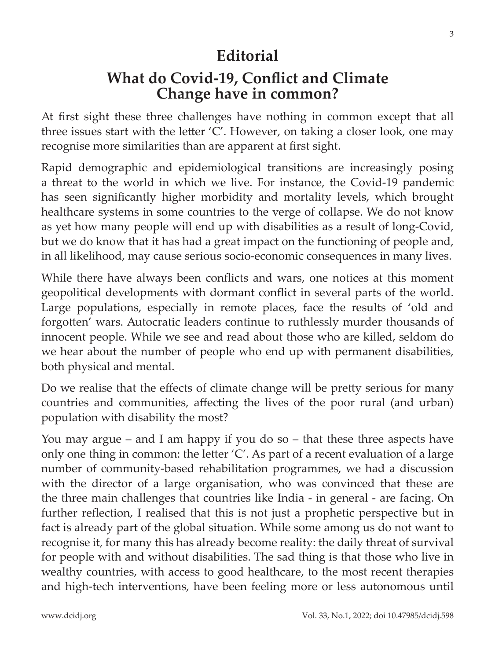## **Editorial**

## **What do Covid-19, Conflict and Climate Change have in common?**

At first sight these three challenges have nothing in common except that all three issues start with the letter 'C'. However, on taking a closer look, one may recognise more similarities than are apparent at first sight.

Rapid demographic and epidemiological transitions are increasingly posing a threat to the world in which we live. For instance, the Covid-19 pandemic has seen significantly higher morbidity and mortality levels, which brought healthcare systems in some countries to the verge of collapse. We do not know as yet how many people will end up with disabilities as a result of long-Covid, but we do know that it has had a great impact on the functioning of people and, in all likelihood, may cause serious socio-economic consequences in many lives.

While there have always been conflicts and wars, one notices at this moment geopolitical developments with dormant conflict in several parts of the world. Large populations, especially in remote places, face the results of 'old and forgotten' wars. Autocratic leaders continue to ruthlessly murder thousands of innocent people. While we see and read about those who are killed, seldom do we hear about the number of people who end up with permanent disabilities, both physical and mental.

Do we realise that the effects of climate change will be pretty serious for many countries and communities, affecting the lives of the poor rural (and urban) population with disability the most?

You may argue – and I am happy if you do so – that these three aspects have only one thing in common: the letter 'C'. As part of a recent evaluation of a large number of community-based rehabilitation programmes, we had a discussion with the director of a large organisation, who was convinced that these are the three main challenges that countries like India - in general - are facing. On further reflection, I realised that this is not just a prophetic perspective but in fact is already part of the global situation. While some among us do not want to recognise it, for many this has already become reality: the daily threat of survival for people with and without disabilities. The sad thing is that those who live in wealthy countries, with access to good healthcare, to the most recent therapies and high-tech interventions, have been feeling more or less autonomous until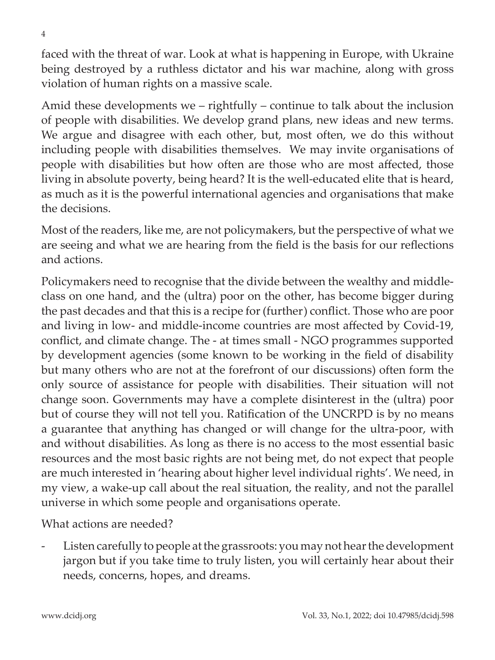faced with the threat of war. Look at what is happening in Europe, with Ukraine being destroyed by a ruthless dictator and his war machine, along with gross violation of human rights on a massive scale.

Amid these developments we – rightfully – continue to talk about the inclusion of people with disabilities. We develop grand plans, new ideas and new terms. We argue and disagree with each other, but, most often, we do this without including people with disabilities themselves. We may invite organisations of people with disabilities but how often are those who are most affected, those living in absolute poverty, being heard? It is the well-educated elite that is heard, as much as it is the powerful international agencies and organisations that make the decisions.

Most of the readers, like me, are not policymakers, but the perspective of what we are seeing and what we are hearing from the field is the basis for our reflections and actions.

Policymakers need to recognise that the divide between the wealthy and middleclass on one hand, and the (ultra) poor on the other, has become bigger during the past decades and that this is a recipe for (further) conflict. Those who are poor and living in low- and middle-income countries are most affected by Covid-19, conflict, and climate change. The - at times small - NGO programmes supported by development agencies (some known to be working in the field of disability but many others who are not at the forefront of our discussions) often form the only source of assistance for people with disabilities. Their situation will not change soon. Governments may have a complete disinterest in the (ultra) poor but of course they will not tell you. Ratification of the UNCRPD is by no means a guarantee that anything has changed or will change for the ultra-poor, with and without disabilities. As long as there is no access to the most essential basic resources and the most basic rights are not being met, do not expect that people are much interested in 'hearing about higher level individual rights'. We need, in my view, a wake-up call about the real situation, the reality, and not the parallel universe in which some people and organisations operate.

What actions are needed?

Listen carefully to people at the grassroots: you may not hear the development jargon but if you take time to truly listen, you will certainly hear about their needs, concerns, hopes, and dreams.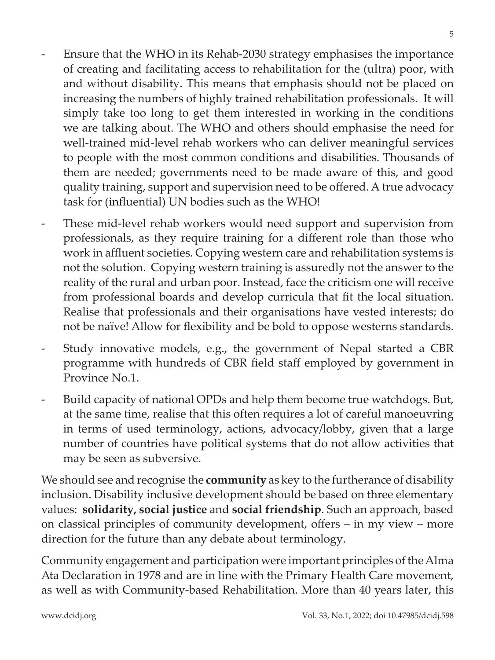5

- Ensure that the WHO in its Rehab-2030 strategy emphasises the importance of creating and facilitating access to rehabilitation for the (ultra) poor, with and without disability. This means that emphasis should not be placed on increasing the numbers of highly trained rehabilitation professionals. It will simply take too long to get them interested in working in the conditions we are talking about. The WHO and others should emphasise the need for well-trained mid-level rehab workers who can deliver meaningful services to people with the most common conditions and disabilities. Thousands of them are needed; governments need to be made aware of this, and good quality training, support and supervision need to be offered. A true advocacy task for (influential) UN bodies such as the WHO!
- These mid-level rehab workers would need support and supervision from professionals, as they require training for a different role than those who work in affluent societies. Copying western care and rehabilitation systems is not the solution. Copying western training is assuredly not the answer to the reality of the rural and urban poor. Instead, face the criticism one will receive from professional boards and develop curricula that fit the local situation. Realise that professionals and their organisations have vested interests; do not be naïve! Allow for flexibility and be bold to oppose westerns standards.
- Study innovative models, e.g., the government of Nepal started a CBR programme with hundreds of CBR field staff employed by government in Province No.1.
- Build capacity of national OPDs and help them become true watchdogs. But, at the same time, realise that this often requires a lot of careful manoeuvring in terms of used terminology, actions, advocacy/lobby, given that a large number of countries have political systems that do not allow activities that may be seen as subversive.

We should see and recognise the **community** as key to the furtherance of disability inclusion. Disability inclusive development should be based on three elementary values: **solidarity, social justice** and **social friendship**. Such an approach, based on classical principles of community development, offers – in my view – more direction for the future than any debate about terminology.

Community engagement and participation were important principles of the Alma Ata Declaration in 1978 and are in line with the Primary Health Care movement, as well as with Community-based Rehabilitation. More than 40 years later, this